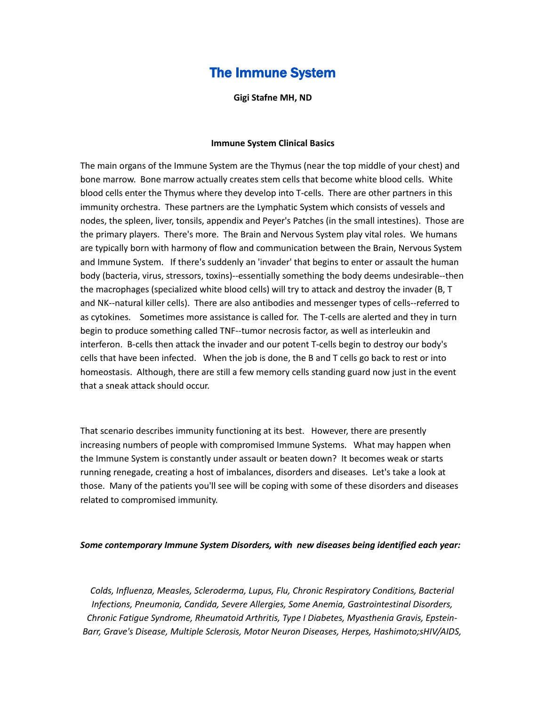# The Immune System

**Gigi Stafne MH, ND**

#### **Immune System Clinical Basics**

The main organs of the Immune System are the Thymus (near the top middle of your chest) and bone marrow. Bone marrow actually creates stem cells that become white blood cells. White blood cells enter the Thymus where they develop into T-cells. There are other partners in this immunity orchestra. These partners are the Lymphatic System which consists of vessels and nodes, the spleen, liver, tonsils, appendix and Peyer's Patches (in the small intestines). Those are the primary players. There's more. The Brain and Nervous System play vital roles. We humans are typically born with harmony of flow and communication between the Brain, Nervous System and Immune System. If there's suddenly an 'invader' that begins to enter or assault the human body (bacteria, virus, stressors, toxins)--essentially something the body deems undesirable--then the macrophages (specialized white blood cells) will try to attack and destroy the invader (B, T and NK--natural killer cells). There are also antibodies and messenger types of cells--referred to as cytokines. Sometimes more assistance is called for. The T-cells are alerted and they in turn begin to produce something called TNF--tumor necrosis factor, as well as interleukin and interferon. B-cells then attack the invader and our potent T-cells begin to destroy our body's cells that have been infected. When the job is done, the B and T cells go back to rest or into homeostasis. Although, there are still a few memory cells standing guard now just in the event that a sneak attack should occur.

That scenario describes immunity functioning at its best. However, there are presently increasing numbers of people with compromised Immune Systems. What may happen when the Immune System is constantly under assault or beaten down? It becomes weak or starts running renegade, creating a host of imbalances, disorders and diseases. Let's take a look at those. Many of the patients you'll see will be coping with some of these disorders and diseases related to compromised immunity.

#### *Some contemporary Immune System Disorders, with new diseases being identified each year:*

*Colds, Influenza, Measles, Scleroderma, Lupus, Flu, Chronic Respiratory Conditions, Bacterial Infections, Pneumonia, Candida, Severe Allergies, Some Anemia, Gastrointestinal Disorders, Chronic Fatigue Syndrome, Rheumatoid Arthritis, Type I Diabetes, Myasthenia Gravis, Epstein-Barr, Grave's Disease, Multiple Sclerosis, Motor Neuron Diseases, Herpes, Hashimoto;sHIV/AIDS,*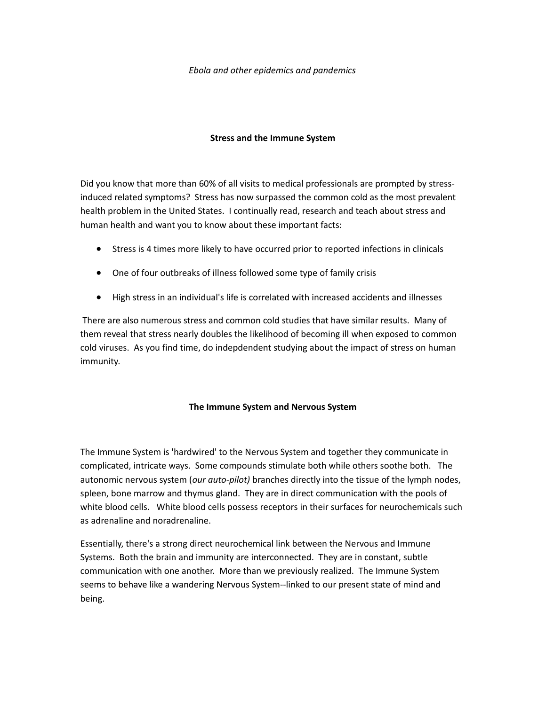#### *Ebola and other epidemics and pandemics*

## **Stress and the Immune System**

Did you know that more than 60% of all visits to medical professionals are prompted by stressinduced related symptoms? Stress has now surpassed the common cold as the most prevalent health problem in the United States. I continually read, research and teach about stress and human health and want you to know about these important facts:

- · Stress is 4 times more likely to have occurred prior to reported infections in clinicals
- One of four outbreaks of illness followed some type of family crisis
- · High stress in an individual's life is correlated with increased accidents and illnesses

 There are also numerous stress and common cold studies that have similar results. Many of them reveal that stress nearly doubles the likelihood of becoming ill when exposed to common cold viruses. As you find time, do indepdendent studying about the impact of stress on human immunity.

# **The Immune System and Nervous System**

The Immune System is 'hardwired' to the Nervous System and together they communicate in complicated, intricate ways. Some compounds stimulate both while others soothe both. The autonomic nervous system (*our auto-pilot)* branches directly into the tissue of the lymph nodes, spleen, bone marrow and thymus gland. They are in direct communication with the pools of white blood cells. White blood cells possess receptors in their surfaces for neurochemicals such as adrenaline and noradrenaline.

Essentially, there's a strong direct neurochemical link between the Nervous and Immune Systems. Both the brain and immunity are interconnected. They are in constant, subtle communication with one another. More than we previously realized. The Immune System seems to behave like a wandering Nervous System--linked to our present state of mind and being.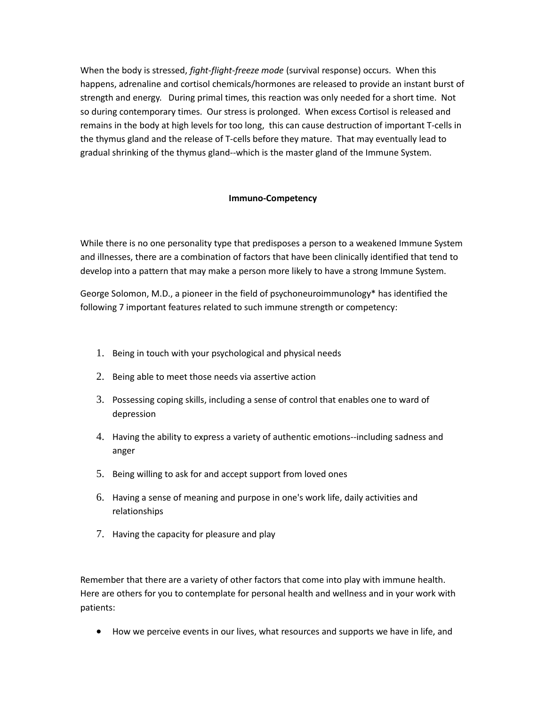When the body is stressed, *fight-flight-freeze mode* (survival response) occurs. When this happens, adrenaline and cortisol chemicals/hormones are released to provide an instant burst of strength and energy. During primal times, this reaction was only needed for a short time. Not so during contemporary times. Our stress is prolonged. When excess Cortisol is released and remains in the body at high levels for too long, this can cause destruction of important T-cells in the thymus gland and the release of T-cells before they mature. That may eventually lead to gradual shrinking of the thymus gland--which is the master gland of the Immune System.

# **Immuno-Competency**

While there is no one personality type that predisposes a person to a weakened Immune System and illnesses, there are a combination of factors that have been clinically identified that tend to develop into a pattern that may make a person more likely to have a strong Immune System.

George Solomon, M.D., a pioneer in the field of psychoneuroimmunology\* has identified the following 7 important features related to such immune strength or competency:

- 1. Being in touch with your psychological and physical needs
- 2. Being able to meet those needs via assertive action
- 3. Possessing coping skills, including a sense of control that enables one to ward of depression
- 4. Having the ability to express a variety of authentic emotions--including sadness and anger
- 5. Being willing to ask for and accept support from loved ones
- 6. Having a sense of meaning and purpose in one's work life, daily activities and relationships
- 7. Having the capacity for pleasure and play

Remember that there are a variety of other factors that come into play with immune health. Here are others for you to contemplate for personal health and wellness and in your work with patients:

· How we perceive events in our lives, what resources and supports we have in life, and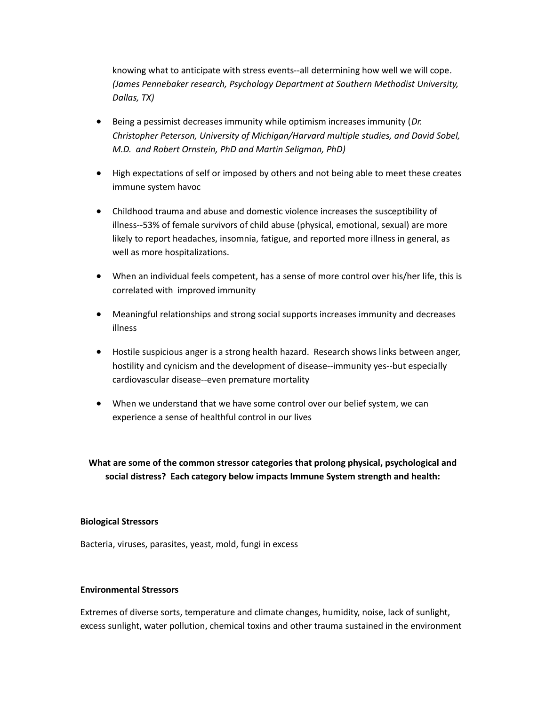knowing what to anticipate with stress events--all determining how well we will cope*. (James Pennebaker research, Psychology Department at Southern Methodist University, Dallas, TX)*

- · Being a pessimist decreases immunity while optimism increases immunity (*Dr. Christopher Peterson, University of Michigan/Harvard multiple studies, and David Sobel, M.D. and Robert Ornstein, PhD and Martin Seligman, PhD)*
- · High expectations of self or imposed by others and not being able to meet these creates immune system havoc
- · Childhood trauma and abuse and domestic violence increases the susceptibility of illness--53% of female survivors of child abuse (physical, emotional, sexual) are more likely to report headaches, insomnia, fatigue, and reported more illness in general, as well as more hospitalizations.
- · When an individual feels competent, has a sense of more control over his/her life, this is correlated with improved immunity
- · Meaningful relationships and strong social supports increases immunity and decreases illness
- · Hostile suspicious anger is a strong health hazard. Research shows links between anger, hostility and cynicism and the development of disease--immunity yes--but especially cardiovascular disease--even premature mortality
- · When we understand that we have some control over our belief system, we can experience a sense of healthful control in our lives

**What are some of the common stressor categories that prolong physical, psychological and social distress? Each category below impacts Immune System strength and health:**

#### **Biological Stressors**

Bacteria, viruses, parasites, yeast, mold, fungi in excess

# **Environmental Stressors**

Extremes of diverse sorts, temperature and climate changes, humidity, noise, lack of sunlight, excess sunlight, water pollution, chemical toxins and other trauma sustained in the environment